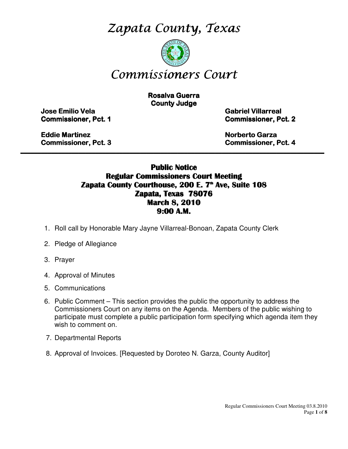Zapata County, Texas



# Commissioners Court

**Rosalva Guerra County Judge** 

Jose Emilio Vela Emilio Vela Vela Gabriel Villarreal Villarreal Villarreal

**Commissioner, Pct. 1 Commissioner, Pct. 2** 

Eddie Martinez **Eddie Martinez** Norberto Garza Garza Garza Garza Garza Garza Garza Garza Garza Garza Garza Garza Garza Garza Garza Garza Garza Garza Garza Garza Garza Garza Garza Garza Garza Garza Garza Garza Garza Garza G

Commissioner, Pct. 3 3 Commissioner, Pct. 4

### Public Notice Regular Commissioners Court Meeting Zapata County Courthouse, 200 E. 7<sup>th</sup> Ave, Suite 108 Zapata, Texas 78076 March 8, 2010 9:00 A.M.

\_\_\_\_\_\_\_\_\_\_\_\_\_\_\_\_\_\_\_\_\_\_\_\_\_\_\_\_\_\_\_\_\_\_\_\_\_\_\_\_\_\_\_\_\_\_\_\_\_\_\_\_\_\_\_\_\_\_\_\_\_\_\_\_\_\_\_\_\_\_\_\_\_\_\_\_\_\_\_\_\_\_\_\_\_\_\_\_\_

- 1. Roll call by Honorable Mary Jayne Villarreal-Bonoan, Zapata County Clerk
- 2. Pledge of Allegiance
- 3. Prayer
- 4. Approval of Minutes
- 5. Communications
- 6. Public Comment This section provides the public the opportunity to address the Commissioners Court on any items on the Agenda. Members of the public wishing to participate must complete a public participation form specifying which agenda item they wish to comment on.
- 7. Departmental Reports
- 8. Approval of Invoices. [Requested by Doroteo N. Garza, County Auditor]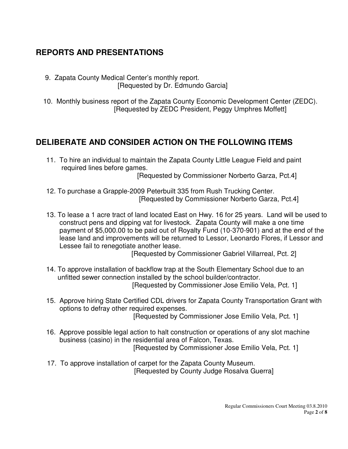# **REPORTS AND PRESENTATIONS**

- 9. Zapata County Medical Center's monthly report. [Requested by Dr. Edmundo Garcia]
- 10. Monthly business report of the Zapata County Economic Development Center (ZEDC). [Requested by ZEDC President, Peggy Umphres Moffett]

# **DELIBERATE AND CONSIDER ACTION ON THE FOLLOWING ITEMS**

 11. To hire an individual to maintain the Zapata County Little League Field and paint required lines before games.

[Requested by Commissioner Norberto Garza, Pct.4]

- 12. To purchase a Grapple-2009 Peterbuilt 335 from Rush Trucking Center. [Requested by Commissioner Norberto Garza, Pct.4]
- 13. To lease a 1 acre tract of land located East on Hwy. 16 for 25 years. Land will be used to construct pens and dipping vat for livestock. Zapata County will make a one time payment of \$5,000.00 to be paid out of Royalty Fund (10-370-901) and at the end of the lease land and improvements will be returned to Lessor, Leonardo Flores, if Lessor and Lessee fail to renegotiate another lease.

[Requested by Commissioner Gabriel Villarreal, Pct. 2]

- 14. To approve installation of backflow trap at the South Elementary School due to an unfitted sewer connection installed by the school builder/contractor. [Requested by Commissioner Jose Emilio Vela, Pct. 1]
- 15. Approve hiring State Certified CDL drivers for Zapata County Transportation Grant with options to defray other required expenses. [Requested by Commissioner Jose Emilio Vela, Pct. 1]

 16. Approve possible legal action to halt construction or operations of any slot machine business (casino) in the residential area of Falcon, Texas. [Requested by Commissioner Jose Emilio Vela, Pct. 1]

 17. To approve installation of carpet for the Zapata County Museum. [Requested by County Judge Rosalva Guerra]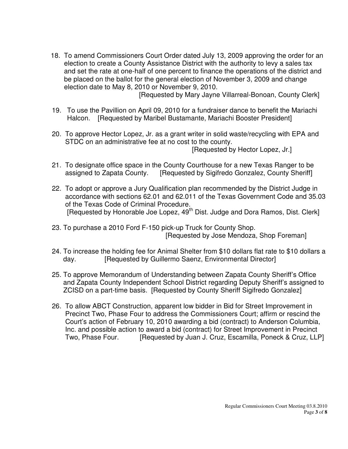18. To amend Commissioners Court Order dated July 13, 2009 approving the order for an election to create a County Assistance District with the authority to levy a sales tax and set the rate at one-half of one percent to finance the operations of the district and be placed on the ballot for the general election of November 3, 2009 and change election date to May 8, 2010 or November 9, 2010.

[Requested by Mary Jayne Villarreal-Bonoan, County Clerk]

- 19. To use the Pavillion on April 09, 2010 for a fundraiser dance to benefit the Mariachi Halcon. [Requested by Maribel Bustamante, Mariachi Booster President]
- 20. To approve Hector Lopez, Jr. as a grant writer in solid waste/recycling with EPA and STDC on an administrative fee at no cost to the county.

[Requested by Hector Lopez, Jr.]

- 21. To designate office space in the County Courthouse for a new Texas Ranger to be assigned to Zapata County. [Requested by Sigifredo Gonzalez, County Sheriff]
- 22. To adopt or approve a Jury Qualification plan recommended by the District Judge in accordance with sections 62.01 and 62.011 of the Texas Government Code and 35.03 of the Texas Code of Criminal Procedure. [Requested by Honorable Joe Lopez, 49<sup>th</sup> Dist. Judge and Dora Ramos, Dist. Clerk]
- 23. To purchase a 2010 Ford F-150 pick-up Truck for County Shop. [Requested by Jose Mendoza, Shop Foreman]
- 24. To increase the holding fee for Animal Shelter from \$10 dollars flat rate to \$10 dollars a day. **[Requested by Guillermo Saenz, Environmental Director]**
- 25. To approve Memorandum of Understanding between Zapata County Sheriff's Office and Zapata County Independent School District regarding Deputy Sheriff's assigned to ZCISD on a part-time basis. [Requested by County Sheriff Sigifredo Gonzalez]
- 26. To allow ABCT Construction, apparent low bidder in Bid for Street Improvement in Precinct Two, Phase Four to address the Commissioners Court; affirm or rescind the Court's action of February 10, 2010 awarding a bid (contract) to Anderson Columbia, Inc. and possible action to award a bid (contract) for Street Improvement in Precinct Two, Phase Four. [Requested by Juan J. Cruz, Escamilla, Poneck & Cruz, LLP]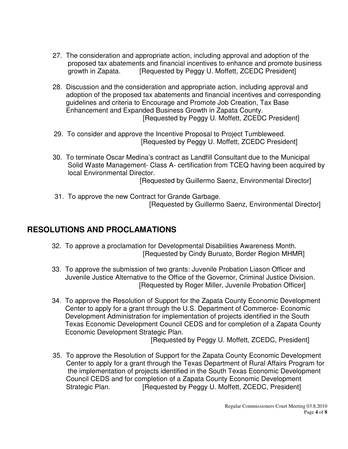- 27. The consideration and appropriate action, including approval and adoption of the proposed tax abatements and financial incentives to enhance and promote business growth in Zapata. [Requested by Peggy U. Moffett, ZCEDC President]
- 28. Discussion and the consideration and appropriate action, including approval and adoption of the proposed tax abatements and financial incentives and corresponding guidelines and criteria to Encourage and Promote Job Creation, Tax Base Enhancement and Expanded Business Growth in Zapata County. [Requested by Peggy U. Moffett, ZCEDC President]
- 29. To consider and approve the Incentive Proposal to Project Tumbleweed. [Requested by Peggy U. Moffett, ZCEDC President]
- 30. To terminate Oscar Medina's contract as Landfill Consultant due to the Municipal Solid Waste Management- Class A- certification from TCEQ having been acquired by local Environmental Director.

[Requested by Guillermo Saenz, Environmental Director]

 31. To approve the new Contract for Grande Garbage. [Requested by Guillermo Saenz, Environmental Director]

# **RESOLUTIONS AND PROCLAMATIONS**

- 32. To approve a proclamation for Developmental Disabilities Awareness Month. [Requested by Cindy Buruato, Border Region MHMR]
- 33. To approve the submission of two grants: Juvenile Probation Liason Officer and Juvenile Justice Alternative to the Office of the Governor, Criminal Justice Division. [Requested by Roger Miller, Juvenile Probation Officer]
- 34. To approve the Resolution of Support for the Zapata County Economic Development Center to apply for a grant through the U.S. Department of Commerce- Economic Development Administration for implementation of projects identified in the South Texas Economic Development Council CEDS and for completion of a Zapata County Economic Development Strategic Plan.

[Requested by Peggy U. Moffett, ZCEDC, President]

 35. To approve the Resolution of Support for the Zapata County Economic Development Center to apply for a grant through the Texas Department of Rural Affairs Program for the implementation of projects identified in the South Texas Economic Development Council CEDS and for completion of a Zapata County Economic Development Strategic Plan. **[Requested by Peggy U. Moffett, ZCEDC, President**]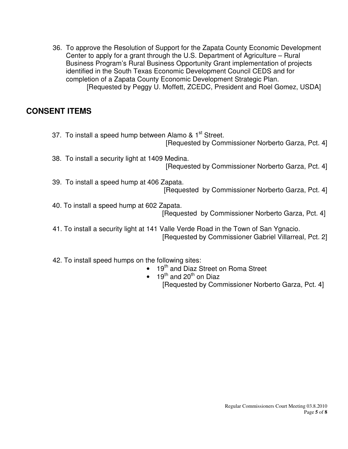36. To approve the Resolution of Support for the Zapata County Economic Development Center to apply for a grant through the U.S. Department of Agriculture – Rural Business Program's Rural Business Opportunity Grant implementation of projects identified in the South Texas Economic Development Council CEDS and for completion of a Zapata County Economic Development Strategic Plan. [Requested by Peggy U. Moffett, ZCEDC, President and Roel Gomez, USDA]

## **CONSENT ITEMS**

37. To install a speed hump between Alamo & 1<sup>st</sup> Street. [Requested by Commissioner Norberto Garza, Pct. 4] 38. To install a security light at 1409 Medina. [Requested by Commissioner Norberto Garza, Pct. 4] 39. To install a speed hump at 406 Zapata. [Requested by Commissioner Norberto Garza, Pct. 4] 40. To install a speed hump at 602 Zapata. [Requested by Commissioner Norberto Garza, Pct. 4] 41. To install a security light at 141 Valle Verde Road in the Town of San Ygnacio. [Requested by Commissioner Gabriel Villarreal, Pct. 2]

42. To install speed humps on the following sites:

- 19<sup>th</sup> and Diaz Street on Roma Street
- 19<sup>th</sup> and 20<sup>th</sup> on Diaz [Requested by Commissioner Norberto Garza, Pct. 4]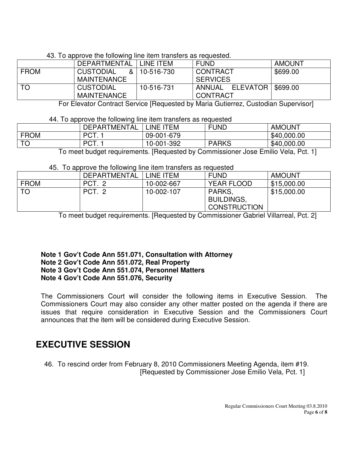#### 43. To approve the following line item transfers as requested.

|             | DEPARTMENTAL                                 | LINE ITEM  | <b>FUND</b>                            | <b>AMOUNT</b> |
|-------------|----------------------------------------------|------------|----------------------------------------|---------------|
| <b>FROM</b> | <b>CUSTODIAL</b><br>&ା<br><b>MAINTENANCE</b> | 10-516-730 | <b>CONTRACT</b><br><b>SERVICES</b>     | \$699.00      |
| ITO         | <b>CUSTODIAL</b><br><b>MAINTENANCE</b>       | 10-516-731 | ANNUAL ELEVATOR   \$699.00<br>CONTRACT |               |

For Elevator Contract Service [Requested by Maria Gutierrez, Custodian Supervisor]

#### 44. To approve the following line item transfers as requested

|             | <b>DEPARTMENTAL</b> | <b>ITEM</b><br><b>INF</b> | <b>FUND</b>              | <b>AMOUNT</b> |
|-------------|---------------------|---------------------------|--------------------------|---------------|
| <b>FROM</b> | PCT.                | 09-001-679                |                          | \$40,000.00   |
| $T\cap$     | PCT.                | 10-001-392                | <b>PARKS</b>             | \$40,000.00   |
|             | . .                 | $-$<br>$\sim$<br>.        | $\overline{\phantom{0}}$ | ---           |

To meet budget requirements. [Requested by Commissioner Jose Emilio Vela, Pct. 1]

#### 45. To approve the following line item transfers as requested

|             | DEPARTMENTAL | . LINE ITEM | <b>FUND</b>                                        | <b>AMOUNT</b> |
|-------------|--------------|-------------|----------------------------------------------------|---------------|
| <b>FROM</b> | PCT. 2       | 10-002-667  | <b>YEAR FLOOD</b>                                  | \$15,000.00   |
| <b>TO</b>   | PCT. 2       | 10-002-107  | PARKS.<br><b>BUILDINGS,</b><br><b>CONSTRUCTION</b> | \$15,000.00   |

To meet budget requirements. [Requested by Commissioner Gabriel Villarreal, Pct. 2]

#### **Note 1 Gov't Code Ann 551.071, Consultation with Attorney Note 2 Gov't Code Ann 551.072, Real Property Note 3 Gov't Code Ann 551.074, Personnel Matters Note 4 Gov't Code Ann 551.076, Security**

The Commissioners Court will consider the following items in Executive Session. The Commissioners Court may also consider any other matter posted on the agenda if there are issues that require consideration in Executive Session and the Commissioners Court announces that the item will be considered during Executive Session.

# **EXECUTIVE SESSION**

 46. To rescind order from February 8, 2010 Commissioners Meeting Agenda, item #19. [Requested by Commissioner Jose Emilio Vela, Pct. 1]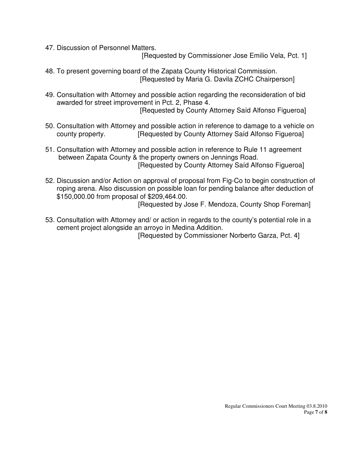47. Discussion of Personnel Matters.

[Requested by Commissioner Jose Emilio Vela, Pct. 1]

- 48. To present governing board of the Zapata County Historical Commission. [Requested by Maria G. Davila ZCHC Chairperson]
- 49. Consultation with Attorney and possible action regarding the reconsideration of bid awarded for street improvement in Pct. 2, Phase 4. [Requested by County Attorney Saíd Alfonso Figueroa]
- 50. Consultation with Attorney and possible action in reference to damage to a vehicle on county property. **[Requested by County Attorney Said Alfonso Figueroa]**
- 51. Consultation with Attorney and possible action in reference to Rule 11 agreement between Zapata County & the property owners on Jennings Road. [Requested by County Attorney Saíd Alfonso Figueroa]
- 52. Discussion and/or Action on approval of proposal from Fig-Co to begin construction of roping arena. Also discussion on possible loan for pending balance after deduction of \$150,000.00 from proposal of \$209,464.00.

[Requested by Jose F. Mendoza, County Shop Foreman]

 53. Consultation with Attorney and/ or action in regards to the county's potential role in a cement project alongside an arroyo in Medina Addition.

[Requested by Commissioner Norberto Garza, Pct. 4]